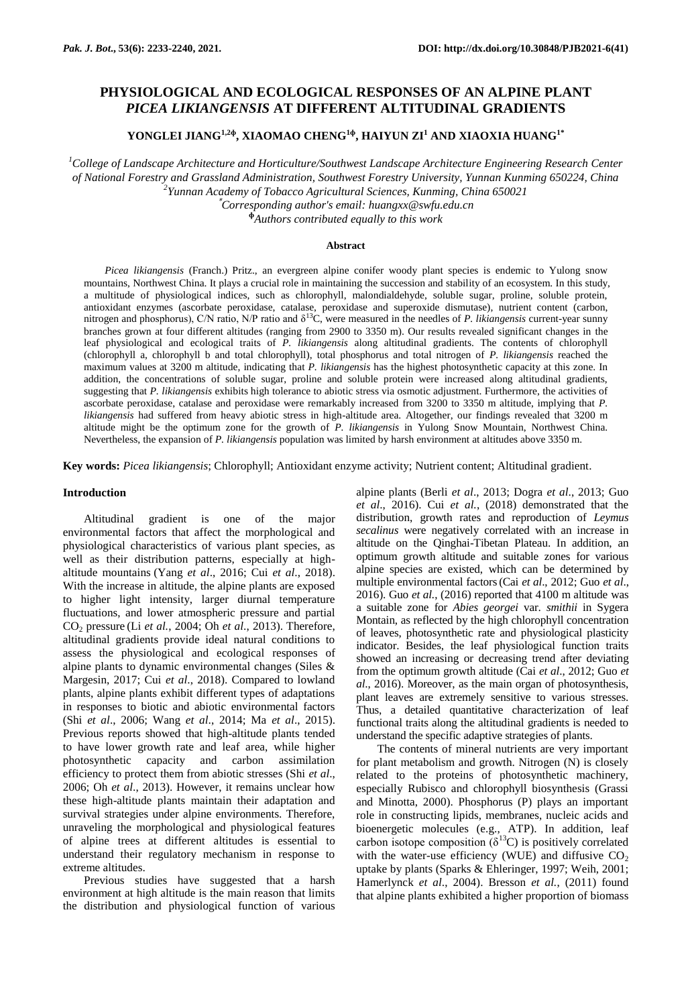# **PHYSIOLOGICAL AND ECOLOGICAL RESPONSES OF AN ALPINE PLANT** *PICEA LIKIANGENSIS* **AT DIFFERENT ALTITUDINAL GRADIENTS**

**YONGLEI JIANG1,2ɸ , XIAOMAO CHENG1ɸ , HAIYUN ZI<sup>1</sup> AND XIAOXIA HUANG1\***

*<sup>1</sup>College of Landscape Architecture and Horticulture/Southwest Landscape Architecture Engineering Research Center of National Forestry and Grassland Administration, Southwest Forestry University, Yunnan Kunming 650224, China 2 Yunnan Academy of Tobacco Agricultural Sciences, Kunming, China 650021*

\**Corresponding author's email[: huangxx@swfu.edu.cn](mailto:huangxx@swfu.edu.cn)*

**<sup>ɸ</sup>***Authors contributed equally to this work*

#### **Abstract**

*Picea likiangensis* (Franch.) Pritz., an evergreen alpine conifer woody plant species is endemic to Yulong snow mountains, Northwest China. It plays a crucial role in maintaining the succession and stability of an ecosystem. In this study, a multitude of physiological indices, such as chlorophyll, malondialdehyde, soluble sugar, proline, soluble protein, antioxidant enzymes (ascorbate peroxidase, catalase, peroxidase and superoxide dismutase), nutrient content (carbon, nitrogen and phosphorus), C/N ratio, N/P ratio and  $\delta^{13}$ C, were measured in the needles of *P. likiangensis* current-year sunny branches grown at four different altitudes (ranging from 2900 to 3350 m). Our results revealed significant changes in the leaf physiological and ecological traits of *P. likiangensis* along altitudinal gradients. The contents of chlorophyll (chlorophyll a, chlorophyll b and total chlorophyll), total phosphorus and total nitrogen of *P. likiangensis* reached the maximum values at 3200 m altitude, indicating that *P. likiangensis* has the highest photosynthetic capacity at this zone. In addition, the concentrations of soluble sugar, proline and soluble protein were increased along altitudinal gradients, suggesting that *P. likiangensis* exhibits high tolerance to abiotic stress via osmotic adjustment. Furthermore, the activities of ascorbate peroxidase, catalase and peroxidase were remarkably increased from 3200 to 3350 m altitude, implying that *P. likiangensis* had suffered from heavy abiotic stress in high-altitude area. Altogether, our findings revealed that 3200 m altitude might be the optimum zone for the growth of *P. likiangensis* in Yulong Snow Mountain, Northwest China. Nevertheless, the expansion of *P. likiangensis* population was limited by harsh environment at altitudes above 3350 m.

**Key words:** *Picea likiangensis*; Chlorophyll; Antioxidant enzyme activity; Nutrient content; Altitudinal gradient.

### **Introduction**

Altitudinal gradient is one of the major environmental factors that affect the morphological and physiological characteristics of various plant species, as well as their distribution patterns, especially at highaltitude mountains (Yang *et al*., 2016; Cui *et al*., 2018). With the increase in altitude, the alpine plants are exposed to higher light intensity, larger diurnal temperature fluctuations, and lower atmospheric pressure and partial CO<sup>2</sup> pressure (Li *et al.*, 2004; Oh *et al*., 2013). Therefore, altitudinal gradients provide ideal natural conditions to assess the physiological and ecological responses of alpine plants to dynamic environmental changes (Siles & Margesin, 2017; Cui *et al*., 2018). Compared to lowland plants, alpine plants exhibit different types of adaptations in responses to biotic and abiotic environmental factors (Shi *et al*., 2006; Wang *et al*., 2014; Ma *et al*., 2015). Previous reports showed that high-altitude plants tended to have lower growth rate and leaf area, while higher photosynthetic capacity and carbon assimilation efficiency to protect them from abiotic stresses (Shi *et al*., 2006; Oh *et al*., 2013). However, it remains unclear how these high-altitude plants maintain their adaptation and survival strategies under alpine environments. Therefore, unraveling the morphological and physiological features of alpine trees at different altitudes is essential to understand their regulatory mechanism in response to extreme altitudes.

Previous studies have suggested that a harsh environment at high altitude is the main reason that limits the distribution and physiological function of various alpine plants (Berli *et al*., 2013; Dogra *et al*., 2013; Guo *et al*., 2016). Cui *et al.*, (2018) demonstrated that the distribution, growth rates and reproduction of *Leymus secalinus* were negatively correlated with an increase in altitude on the Qinghai-Tibetan Plateau. In addition, an optimum growth altitude and suitable zones for various alpine species are existed, which can be determined by multiple environmental factors(Cai *et al*., 2012; Guo *et al*., 2016). Guo *et al.*, (2016) reported that 4100 m altitude was a suitable zone for *Abies georgei* var. *smithii* in Sygera Montain, as reflected by the high chlorophyll concentration of leaves, photosynthetic rate and physiological plasticity indicator. Besides, the leaf physiological function traits showed an increasing or decreasing trend after deviating from the optimum growth altitude (Cai *et al*., 2012; Guo *et al*., 2016). Moreover, as the main organ of photosynthesis, plant leaves are extremely sensitive to various stresses. Thus, a detailed quantitative characterization of leaf functional traits along the altitudinal gradients is needed to understand the specific adaptive strategies of plants.

The contents of mineral nutrients are very important for plant metabolism and growth. Nitrogen (N) is closely related to the proteins of photosynthetic machinery, especially Rubisco and chlorophyll biosynthesis (Grassi and Minotta, 2000). Phosphorus (P) plays an important role in constructing lipids, membranes, nucleic acids and bioenergetic molecules (e.g., ATP). In addition, leaf carbon isotope composition  $(\delta^{13}C)$  is positively correlated with the water-use efficiency (WUE) and diffusive  $CO<sub>2</sub>$ uptake by plants (Sparks & Ehleringer, 1997; Weih, 2001; Hamerlynck *et al*., 2004). Bresson *et al.*, (2011) found that alpine plants exhibited a higher proportion of biomass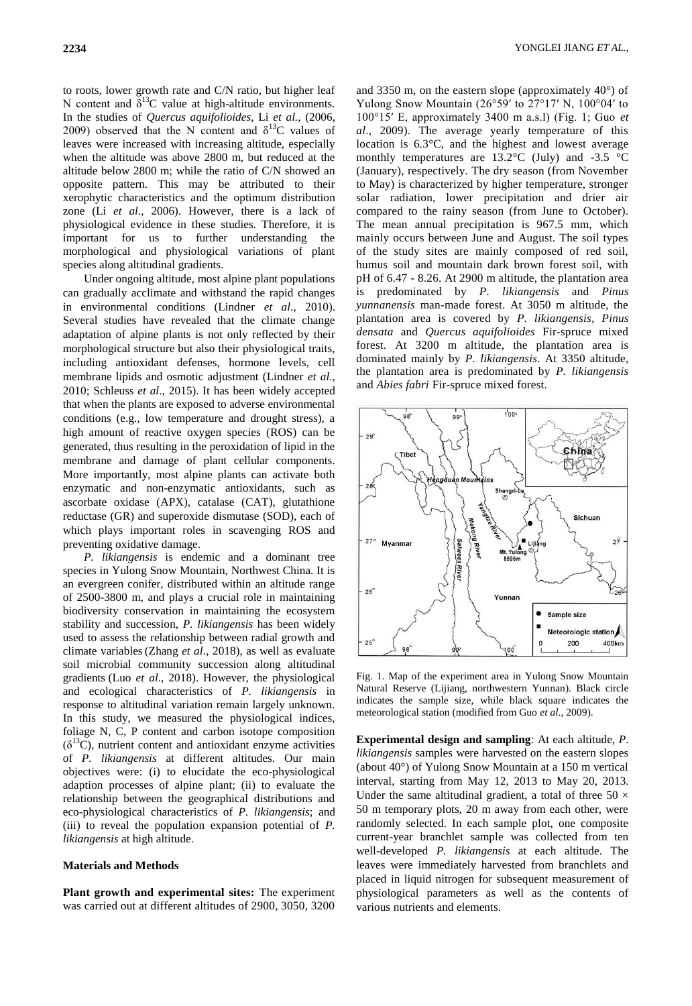to roots, lower growth rate and C/N ratio, but higher leaf N content and  $\delta^{13}$ C value at high-altitude environments. In the studies of *Quercus aquifolioides*, Li *et al.*, (2006, 2009) observed that the N content and  $\delta^{13}$ C values of leaves were increased with increasing altitude, especially when the altitude was above 2800 m, but reduced at the altitude below 2800 m; while the ratio of C/N showed an opposite pattern. This may be attributed to their xerophytic characteristics and the optimum distribution zone (Li *et al*., 2006). However, there is a lack of physiological evidence in these studies. Therefore, it is important for us to further understanding the morphological and physiological variations of plant species along altitudinal gradients.

Under ongoing altitude, most alpine plant populations can gradually acclimate and withstand the rapid changes in environmental conditions (Lindner *et al*., 2010). Several studies have revealed that the climate change adaptation of alpine plants is not only reflected by their morphological structure but also their physiological traits, including antioxidant defenses, hormone levels, cell membrane lipids and osmotic adjustment (Lindner *et al*., 2010; Schleuss *et al*., 2015). It has been widely accepted that when the plants are exposed to adverse environmental conditions (e.g., low temperature and drought stress), a high amount of reactive oxygen species (ROS) can be generated, thus resulting in the peroxidation of lipid in the membrane and damage of plant cellular components. More importantly, most alpine plants can activate both enzymatic and non-enzymatic antioxidants, such as ascorbate oxidase (APX), catalase (CAT), glutathione reductase (GR) and superoxide dismutase (SOD), each of which plays important roles in scavenging ROS and preventing oxidative damage.

*P. likiangensis* is endemic and a dominant tree species in Yulong Snow Mountain, Northwest China. It is an evergreen conifer, distributed within an altitude range of 2500-3800 m, and plays a crucial role in maintaining biodiversity conservation in maintaining the ecosystem stability and succession, *P. likiangensis* has been widely used to assess the relationship between radial growth and climate variables(Zhang *et al*., 2018), as well as evaluate soil microbial community succession along altitudinal gradients (Luo *et al*., 2018). However, the physiological and ecological characteristics of *P. likiangensis* in response to altitudinal variation remain largely unknown. In this study, we measured the physiological indices, foliage N, C, P content and carbon isotope composition  $(\delta^{13}C)$ , nutrient content and antioxidant enzyme activities of *P. likiangensis* at different altitudes. Our main objectives were: (i) to elucidate the eco-physiological adaption processes of alpine plant; (ii) to evaluate the relationship between the geographical distributions and eco-physiological characteristics of *P. likiangensis*; and (iii) to reveal the population expansion potential of *P. likiangensis* at high altitude.

## **Materials and Methods**

**Plant growth and experimental sites:** The experiment was carried out at different altitudes of 2900, 3050, 3200

and 3350 m, on the eastern slope (approximately  $40^{\circ}$ ) of Yulong Snow Mountain  $(26°59'$  to  $27°17'$  N,  $100°04'$  to 100°15′ E, approximately 3400 m a.s.l) (Fig. 1; Guo *et al*., 2009). The average yearly temperature of this location is 6.3°C, and the highest and lowest average monthly temperatures are 13.2 $\degree$ C (July) and -3.5  $\degree$ C (January), respectively. The dry season (from November to May) is characterized by higher temperature, stronger solar radiation, lower precipitation and drier air compared to the rainy season (from June to October). The mean annual precipitation is 967.5 mm, which mainly occurs between June and August. The soil types of the study sites are mainly composed of red soil, humus soil and mountain dark brown forest soil, with pH of 6.47 - 8.26. At 2900 m altitude, the plantation area is predominated by *P. likiangensis* and *Pinus yunnanensis* man-made forest. At 3050 m altitude, the plantation area is covered by *P. likiangensis*, *Pinus densata* and *Quercus aquifolioides* Fir-spruce mixed forest. At 3200 m altitude, the plantation area is dominated mainly by *P. likiangensis*. At 3350 altitude, the plantation area is predominated by *P. likiangensis* and *Abies fabri* Fir-spruce mixed forest.



Fig. 1. Map of the experiment area in Yulong Snow Mountain Natural Reserve (Lijiang, northwestern Yunnan). Black circle indicates the sample size, while black square indicates the meteorological station (modified from Guo *et al*., 2009).

**Experimental design and sampling**: At each altitude, *P. likiangensis* samples were harvested on the eastern slopes (about 40°) of Yulong Snow Mountain at a 150 m vertical interval, starting from May 12, 2013 to May 20, 2013. Under the same altitudinal gradient, a total of three  $50 \times$ 50 m temporary plots, 20 m away from each other, were randomly selected. In each sample plot, one composite current-year branchlet sample was collected from ten well-developed *P. likiangensis* at each altitude. The leaves were immediately harvested from branchlets and placed in liquid nitrogen for subsequent measurement of physiological parameters as well as the contents of various nutrients and elements.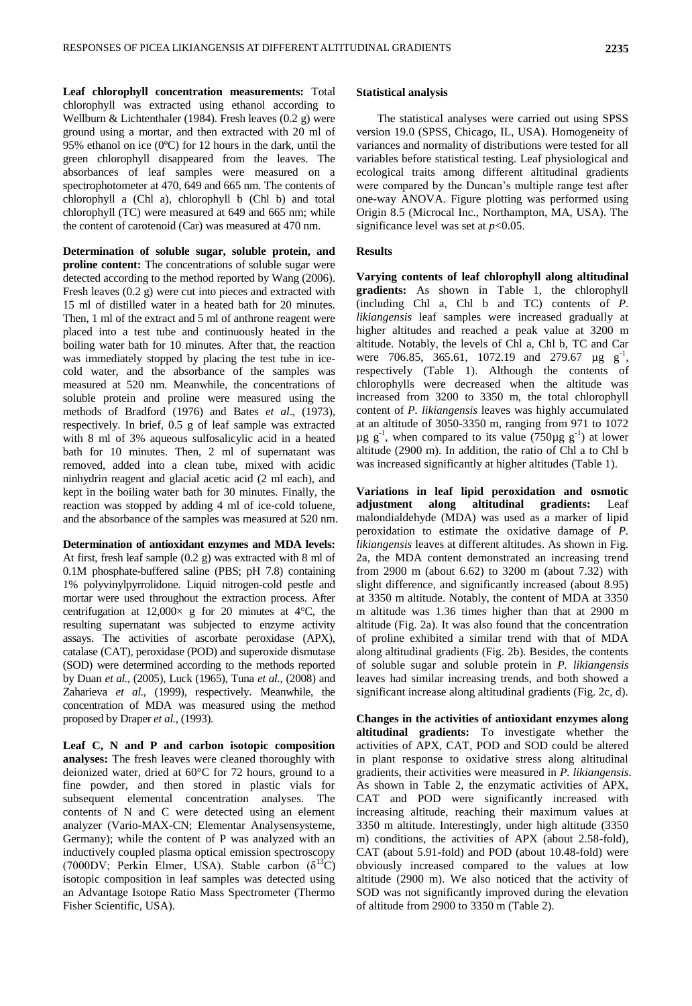**Leaf chlorophyll concentration measurements:** Total chlorophyll was extracted using ethanol according to Wellburn & Lichtenthaler (1984). Fresh leaves (0.2 g) were ground using a mortar, and then extracted with 20 ml of 95% ethanol on ice (0ºC) for 12 hours in the dark, until the green chlorophyll disappeared from the leaves. The absorbances of leaf samples were measured on a spectrophotometer at 470, 649 and 665 nm. The contents of chlorophyll a (Chl a), chlorophyll b (Chl b) and total chlorophyll (TC) were measured at 649 and 665 nm; while the content of carotenoid (Car) was measured at 470 nm.

**Determination of soluble sugar, soluble protein, and proline content:** The concentrations of soluble sugar were detected according to the method reported by Wang (2006). Fresh leaves (0.2 g) were cut into pieces and extracted with 15 ml of distilled water in a heated bath for 20 minutes. Then, 1 ml of the extract and 5 ml of anthrone reagent were placed into a test tube and continuously heated in the boiling water bath for 10 minutes. After that, the reaction was immediately stopped by placing the test tube in icecold water, and the absorbance of the samples was measured at 520 nm. Meanwhile, the concentrations of soluble protein and proline were measured using the methods of Bradford (1976) and Bates *et al*., (1973), respectively. In brief, 0.5 g of leaf sample was extracted with 8 ml of 3% aqueous sulfosalicylic acid in a heated bath for 10 minutes. Then, 2 ml of supernatant was removed, added into a clean tube, mixed with acidic ninhydrin reagent and glacial acetic acid (2 ml each), and kept in the boiling water bath for 30 minutes. Finally, the reaction was stopped by adding 4 ml of ice-cold toluene, and the absorbance of the samples was measured at 520 nm.

**Determination of antioxidant enzymes and MDA levels:**  At first, fresh leaf sample (0.2 g) was extracted with 8 ml of 0.1M phosphate-buffered saline (PBS; pH 7.8) containing 1% polyvinylpyrrolidone. Liquid nitrogen-cold pestle and mortar were used throughout the extraction process. After centrifugation at  $12,000 \times g$  for 20 minutes at 4°C, the resulting supernatant was subjected to enzyme activity assays. The activities of ascorbate peroxidase (APX), catalase (CAT), peroxidase (POD) and superoxide dismutase (SOD) were determined according to the methods reported by Duan *et al.*, (2005), Luck (1965), Tuna *et al.*, (2008) and Zaharieva *et al.*, (1999), respectively. Meanwhile, the concentration of MDA was measured using the method proposed by Draper *et al.*, (1993).

**Leaf C, N and P and carbon isotopic composition analyses:** The fresh leaves were cleaned thoroughly with deionized water, dried at 60°C for 72 hours, ground to a fine powder, and then stored in plastic vials for subsequent elemental concentration analyses. The contents of N and C were detected using an element analyzer (Vario-MAX-CN; Elementar Analysensysteme, Germany); while the content of P was analyzed with an inductively coupled plasma optical emission spectroscopy (7000DV; Perkin Elmer, USA). Stable carbon  $(\delta^{13}C)$ isotopic composition in leaf samples was detected using an Advantage Isotope Ratio Mass Spectrometer (Thermo Fisher Scientific, USA).

#### **Statistical analysis**

The statistical analyses were carried out using SPSS version 19.0 (SPSS, Chicago, IL, USA). Homogeneity of variances and normality of distributions were tested for all variables before statistical testing. Leaf physiological and ecological traits among different altitudinal gradients were compared by the Duncan's multiple range test after one-way ANOVA. Figure plotting was performed using Origin 8.5 (Microcal Inc., Northampton, MA, USA). The significance level was set at *p*<0.05.

#### **Results**

**Varying contents of leaf chlorophyll along altitudinal gradients:** As shown in Table 1, the chlorophyll (including Chl a, Chl b and TC) contents of *P. likiangensis* leaf samples were increased gradually at higher altitudes and reached a peak value at 3200 m altitude. Notably, the levels of Chl a, Chl b, TC and Car were 706.85, 365.61, 1072.19 and 279.67  $\mu$ g g<sup>-1</sup>, respectively (Table 1). Although the contents of chlorophylls were decreased when the altitude was increased from 3200 to 3350 m, the total chlorophyll content of *P. likiangensis* leaves was highly accumulated at an altitude of 3050-3350 m, ranging from 971 to 1072  $\mu$ g g<sup>-1</sup>, when compared to its value (750 $\mu$ g g<sup>-1</sup>) at lower altitude (2900 m). In addition, the ratio of Chl a to Chl b was increased significantly at higher altitudes (Table 1).

**Variations in leaf lipid peroxidation and osmotic adjustment along altitudinal gradients:** Leaf malondialdehyde (MDA) was used as a marker of lipid peroxidation to estimate the oxidative damage of *P. likiangensis* leaves at different altitudes. As shown in Fig. 2a, the MDA content demonstrated an increasing trend from 2900 m (about 6.62) to 3200 m (about 7.32) with slight difference, and significantly increased (about 8.95) at 3350 m altitude. Notably, the content of MDA at 3350 m altitude was 1.36 times higher than that at 2900 m altitude (Fig. 2a). It was also found that the concentration of proline exhibited a similar trend with that of MDA along altitudinal gradients (Fig. 2b). Besides, the contents of soluble sugar and soluble protein in *P. likiangensis* leaves had similar increasing trends, and both showed a significant increase along altitudinal gradients (Fig. 2c, d).

**Changes in the activities of antioxidant enzymes along altitudinal gradients:** To investigate whether the activities of APX, CAT, POD and SOD could be altered in plant response to oxidative stress along altitudinal gradients, their activities were measured in *P. likiangensis*. As shown in Table 2, the enzymatic activities of APX, CAT and POD were significantly increased with increasing altitude, reaching their maximum values at 3350 m altitude. Interestingly, under high altitude (3350 m) conditions, the activities of APX (about 2.58-fold), CAT (about 5.91-fold) and POD (about 10.48-fold) were obviously increased compared to the values at low altitude (2900 m). We also noticed that the activity of SOD was not significantly improved during the elevation of altitude from 2900 to 3350 m (Table 2).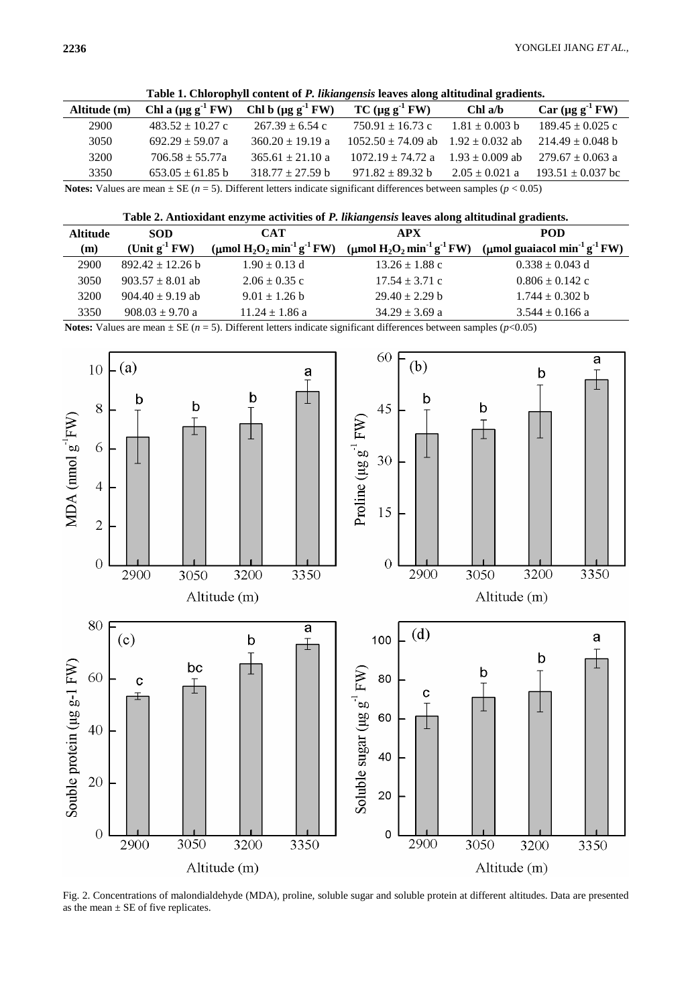|  | Table 1. Chlorophyll content of P. likiangensis leaves along altitudinal gradients. |  |  |  |
|--|-------------------------------------------------------------------------------------|--|--|--|
|  |                                                                                     |  |  |  |

| $\sim$ which can be a constant of a contractively and the second model of the second second and $\sim$ |                            |                            |                                            |                    |                          |
|--------------------------------------------------------------------------------------------------------|----------------------------|----------------------------|--------------------------------------------|--------------------|--------------------------|
| Altitude (m)                                                                                           | Chl a $(\mu g g^{-1} F W)$ | Chl b $(\mu g g^{-1} F W)$ | $TC (\mu g g^{-1} FW)$                     | Chl a/b            | Car $(\mu g g^{-1} F W)$ |
| 2900                                                                                                   | $483.52 \pm 10.27$ c       | $267.39 \pm 6.54$ c        | $750.91 \pm 16.73$ c                       | $1.81 + 0.003$ b   | $189.45 \pm 0.025$ c     |
| 3050                                                                                                   | $692.29 \pm 59.07$ a       | $360.20 \pm 19.19$ a       | $1052.50 \pm 74.09$ ab $1.92 \pm 0.032$ ab |                    | $214.49 \pm 0.048$ b     |
| 3200                                                                                                   | $706.58 + 55.77a$          | $365.61 \pm 21.10$ a       | $1072.19 \pm 74.72$ a                      | $1.93 + 0.009$ ab  | $279.67 \pm 0.063$ a     |
| 3350                                                                                                   | $653.05 \pm 61.85$ b       | $318.77 + 27.59$ b         | $971.82 \pm 89.32 b$                       | $2.05 \pm 0.021$ a | $193.51 \pm 0.037$ bc    |

**Notes:** Values are mean ± SE (*n* = 5). Different letters indicate significant differences between samples (*p* < 0.05)

| Table 2. Antioxidant enzyme activities of P. likiangensis leaves along altitudinal gradients. |  |  |
|-----------------------------------------------------------------------------------------------|--|--|
|                                                                                               |  |  |

| <b>Altitude</b> | <b>SOD</b>           | <b>CAT</b>                                           | <b>APX</b>                                           | <b>POD</b>                                           |
|-----------------|----------------------|------------------------------------------------------|------------------------------------------------------|------------------------------------------------------|
| (m)             | (Unit $g^{-1}$ FW)   | (µmol $H_2O_2$ min <sup>-1</sup> g <sup>-1</sup> FW) | (µmol $H_2O_2$ min <sup>-1</sup> g <sup>-1</sup> FW) | (µmol guaiacol min <sup>-1</sup> g <sup>-1</sup> FW) |
| 2900            | $892.42 \pm 12.26$ b | $1.90 \pm 0.13$ d                                    | $13.26 \pm 1.88$ c                                   | $0.338 \pm 0.043$ d                                  |
| 3050            | $903.57 \pm 8.01$ ab | $2.06 \pm 0.35$ c                                    | $17.54 \pm 3.71$ c                                   | $0.806 \pm 0.142$ c                                  |
| 3200            | $904.40 \pm 9.19$ ab | $9.01 \pm 1.26$ b                                    | $29.40 \pm 2.29$ b                                   | $1.744 \pm 0.302$ b                                  |
| 3350            | $908.03 \pm 9.70$ a  | $11.24 \pm 1.86$ a                                   | $34.29 \pm 3.69$ a                                   | $3.544 \pm 0.166$ a                                  |

**Notes:** Values are mean  $\pm$  SE ( $n = 5$ ). Different letters indicate significant differences between samples ( $p$ <0.05)



Fig. 2. Concentrations of malondialdehyde (MDA), proline, soluble sugar and soluble protein at different altitudes. Data are presented as the mean  $\pm$  SE of five replicates.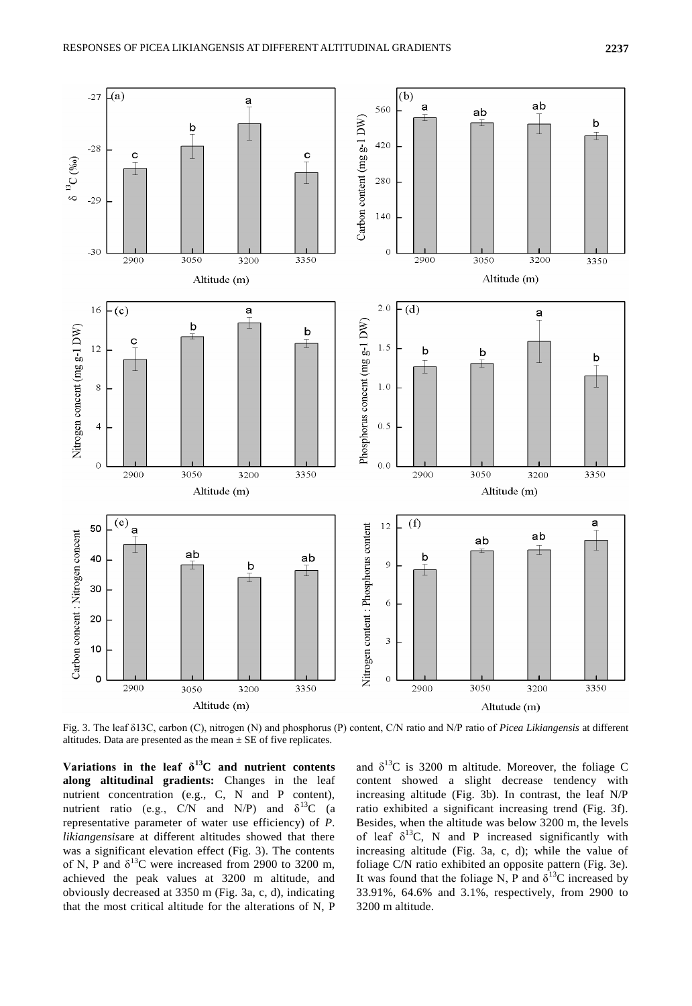

Fig. 3. The leaf δ13C, carbon (C), nitrogen (N) and phosphorus (P) content, C/N ratio and N/P ratio of *Picea Likiangensis* at different altitudes. Data are presented as the mean  $\pm$  SE of five replicates.

Variations in the leaf  $\delta^{13}$ C and nutrient contents **along altitudinal gradients:** Changes in the leaf nutrient concentration (e.g., C, N and P content), nutrient ratio (e.g., C/N and N/P) and  $\delta^{13}$ C (a representative parameter of water use efficiency) of *P. likiangensis*are at different altitudes showed that there was a significant elevation effect (Fig. 3). The contents of N, P and  $\delta^{13}$ C were increased from 2900 to 3200 m, achieved the peak values at 3200 m altitude, and obviously decreased at 3350 m (Fig. 3a, c, d), indicating that the most critical altitude for the alterations of N, P

and  $\delta^{13}$ C is 3200 m altitude. Moreover, the foliage C content showed a slight decrease tendency with increasing altitude (Fig. 3b). In contrast, the leaf N/P ratio exhibited a significant increasing trend (Fig. 3f). Besides, when the altitude was below 3200 m, the levels of leaf  $\delta^{13}C$ , N and P increased significantly with increasing altitude (Fig. 3a, c, d); while the value of foliage C/N ratio exhibited an opposite pattern (Fig. 3e). It was found that the foliage N, P and  $\delta^{13}$ C increased by 33.91%, 64.6% and 3.1%, respectively, from 2900 to 3200 m altitude.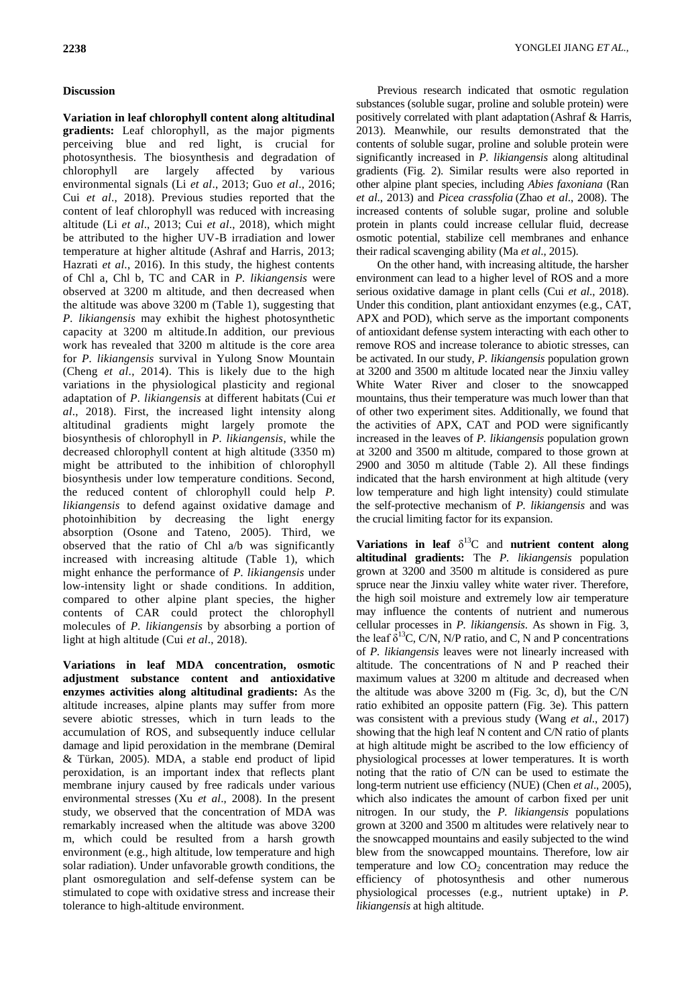# **Discussion**

**Variation in leaf chlorophyll content along altitudinal gradients:** Leaf chlorophyll, as the major pigments perceiving blue and red light, is crucial for photosynthesis. The biosynthesis and degradation of chlorophyll are largely affected by various environmental signals (Li *et al*., 2013; Guo *et al*., 2016; Cui *et al*., 2018). Previous studies reported that the content of leaf chlorophyll was reduced with increasing altitude (Li *et al*., 2013; Cui *et al*., 2018), which might be attributed to the higher UV-B irradiation and lower temperature at higher altitude (Ashraf and Harris, 2013; Hazrati *et al*., 2016). In this study, the highest contents of Chl a, Chl b, TC and CAR in *P. likiangensis* were observed at 3200 m altitude, and then decreased when the altitude was above 3200 m (Table 1), suggesting that *P. likiangensis* may exhibit the highest photosynthetic capacity at 3200 m altitude.In addition, our previous work has revealed that 3200 m altitude is the core area for *P. likiangensis* survival in Yulong Snow Mountain (Cheng *et al*., 2014). This is likely due to the high variations in the physiological plasticity and regional adaptation of *P. likiangensis* at different habitats (Cui *et al*., 2018). First, the increased light intensity along altitudinal gradients might largely promote the biosynthesis of chlorophyll in *P. likiangensis*, while the decreased chlorophyll content at high altitude (3350 m) might be attributed to the inhibition of chlorophyll biosynthesis under low temperature conditions. Second, the reduced content of chlorophyll could help *P. likiangensis* to defend against oxidative damage and photoinhibition by decreasing the light energy absorption (Osone and Tateno, 2005). Third, we observed that the ratio of Chl a/b was significantly increased with increasing altitude (Table 1), which might enhance the performance of *P. likiangensis* under low-intensity light or shade conditions. In addition, compared to other alpine plant species, the higher contents of CAR could protect the chlorophyll molecules of *P. likiangensis* by absorbing a portion of light at high altitude (Cui *et al*., 2018).

**Variations in leaf MDA concentration, osmotic adjustment substance content and antioxidative enzymes activities along altitudinal gradients:** As the altitude increases, alpine plants may suffer from more severe abiotic stresses, which in turn leads to the accumulation of ROS, and subsequently induce cellular damage and lipid peroxidation in the membrane (Demiral & Türkan, 2005). MDA, a stable end product of lipid peroxidation, is an important index that reflects plant membrane injury caused by free radicals under various environmental stresses (Xu *et al*., 2008). In the present study, we observed that the concentration of MDA was remarkably increased when the altitude was above 3200 m, which could be resulted from a harsh growth environment (e.g., high altitude, low temperature and high solar radiation). Under unfavorable growth conditions, the plant osmoregulation and self-defense system can be stimulated to cope with oxidative stress and increase their tolerance to high-altitude environment.

Previous research indicated that osmotic regulation substances (soluble sugar, proline and soluble protein) were positively correlated with plant adaptation (Ashraf & Harris, 2013). Meanwhile, our results demonstrated that the contents of soluble sugar, proline and soluble protein were significantly increased in *P. likiangensis* along altitudinal gradients (Fig. 2). Similar results were also reported in other alpine plant species, including *Abies faxoniana* (Ran *et al*., 2013) and *Picea crassfolia* (Zhao *et al*., 2008). The increased contents of soluble sugar, proline and soluble protein in plants could increase cellular fluid, decrease osmotic potential, stabilize cell membranes and enhance their radical scavenging ability (Ma *et al*., 2015).

On the other hand, with increasing altitude, the harsher environment can lead to a higher level of ROS and a more serious oxidative damage in plant cells (Cui *et al*., 2018). Under this condition, plant antioxidant enzymes (e.g., CAT, APX and POD), which serve as the important components of antioxidant defense system interacting with each other to remove ROS and increase tolerance to abiotic stresses, can be activated. In our study, *P. likiangensis* population grown at 3200 and 3500 m altitude located near the Jinxiu valley White Water River and closer to the snowcapped mountains, thus their temperature was much lower than that of other two experiment sites. Additionally, we found that the activities of APX, CAT and POD were significantly increased in the leaves of *P. likiangensis* population grown at 3200 and 3500 m altitude, compared to those grown at 2900 and 3050 m altitude (Table 2). All these findings indicated that the harsh environment at high altitude (very low temperature and high light intensity) could stimulate the self-protective mechanism of *P. likiangensis* and was the crucial limiting factor for its expansion.

**Variations in leaf** δ <sup>13</sup>C and **nutrient content along altitudinal gradients:** The *P. likiangensis* population grown at 3200 and 3500 m altitude is considered as pure spruce near the Jinxiu valley white water river. Therefore, the high soil moisture and extremely low air temperature may influence the contents of nutrient and numerous cellular processes in *P. likiangensis*. As shown in Fig. 3, the leaf  $\delta^{13}C$ , C/N, N/P ratio, and C, N and P concentrations of *P. likiangensis* leaves were not linearly increased with altitude. The concentrations of N and P reached their maximum values at 3200 m altitude and decreased when the altitude was above 3200 m (Fig. 3c, d), but the C/N ratio exhibited an opposite pattern (Fig. 3e). This pattern was consistent with a previous study (Wang *et al*., 2017) showing that the high leaf N content and C/N ratio of plants at high altitude might be ascribed to the low efficiency of physiological processes at lower temperatures. It is worth noting that the ratio of C/N can be used to estimate the long-term nutrient use efficiency (NUE) (Chen *et al*., 2005), which also indicates the amount of carbon fixed per unit nitrogen. In our study, the *P. likiangensis* populations grown at 3200 and 3500 m altitudes were relatively near to the snowcapped mountains and easily subjected to the wind blew from the snowcapped mountains. Therefore, low air temperature and low  $CO<sub>2</sub>$  concentration may reduce the efficiency of photosynthesis and other numerous physiological processes (e.g., nutrient uptake) in *P. likiangensis* at high altitude.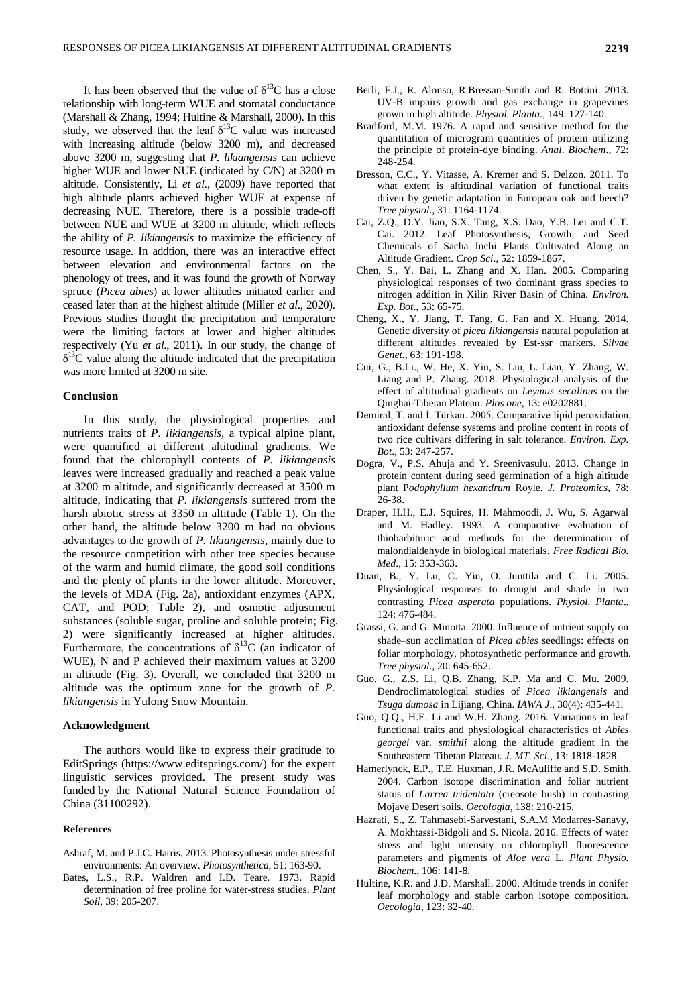It has been observed that the value of  $\delta^{13}$ C has a close relationship with long-term WUE and stomatal conductance (Marshall & Zhang, 1994; Hultine & Marshall, 2000). In this study, we observed that the leaf  $\delta^{13}$ C value was increased with increasing altitude (below 3200 m), and decreased above 3200 m, suggesting that *P. likiangensis* can achieve higher WUE and lower NUE (indicated by C/N) at 3200 m altitude. Consistently, Li *et al.*, (2009) have reported that high altitude plants achieved higher WUE at expense of decreasing NUE. Therefore, there is a possible trade-off between NUE and WUE at 3200 m altitude, which reflects the ability of *P. likiangensis* to maximize the efficiency of resource usage. In addtion, there was an interactive effect between elevation and environmental factors on the phenology of trees, and it was found the growth of Norway spruce (*Picea abies*) at lower altitudes initiated earlier and ceased later than at the highest altitude (Miller *et al*., 2020). Previous studies thought the precipitation and temperature were the limiting factors at lower and higher altitudes respectively (Yu *et al*., 2011). In our study, the change of  $\delta^{13}$ C value along the altitude indicated that the precipitation was more limited at 3200 m site.

#### **Conclusion**

In this study, the physiological properties and nutrients traits of *P. likiangensis,* a typical alpine plant, were quantified at different altitudinal gradients. We found that the chlorophyll contents of *P. likiangensis* leaves were increased gradually and reached a peak value at 3200 m altitude, and significantly decreased at 3500 m altitude, indicating that *P. likiangensis* suffered from the harsh abiotic stress at 3350 m altitude (Table 1). On the other hand, the altitude below 3200 m had no obvious advantages to the growth of *P. likiangensis*, mainly due to the resource competition with other tree species because of the warm and humid climate, the good soil conditions and the plenty of plants in the lower altitude. Moreover, the levels of MDA (Fig. 2a), antioxidant enzymes (APX, CAT, and POD; Table 2), and osmotic adjustment substances (soluble sugar, proline and soluble protein; Fig. 2) were significantly increased at higher altitudes. Furthermore, the concentrations of  $\delta^{13}C$  (an indicator of WUE), N and P achieved their maximum values at 3200 m altitude (Fig. 3). Overall, we concluded that 3200 m altitude was the optimum zone for the growth of *P. likiangensis* in Yulong Snow Mountain.

#### **Acknowledgment**

The authors would like to express their gratitude to EditSprings (https://www.editsprings.com/) for the expert linguistic services provided. The present study was funded by the National Natural Science Foundation of China (31100292).

#### **References**

- Ashraf, M. and P.J.C. Harris. 2013. Photosynthesis under stressful environments: An overview. *Photosynthetica*, 51: 163-90.
- Bates, L.S., R.P. Waldren and I.D. Teare. 1973. Rapid determination of free proline for water-stress studies. *Plant Soil*, 39: 205-207.
- Berli, F.J., R. Alonso, R.Bressan-Smith and R. Bottini. 2013. UV-B impairs growth and gas exchange in grapevines grown in high altitude. *Physiol. Planta*., 149: 127-140.
- Bradford, M.M. 1976. A rapid and sensitive method for the quantitation of microgram quantities of protein utilizing the principle of protein-dye binding. *Anal. Biochem*., 72: 248-254.
- Bresson, C.C., Y. Vitasse, A. Kremer and S. Delzon. 2011. To what extent is altitudinal variation of functional traits driven by genetic adaptation in European oak and beech? *Tree physiol*., 31: 1164-1174.
- Cai, Z.Q., D.Y. Jiao, S.X. Tang, X.S. Dao, Y.B. Lei and C.T. Cai. 2012. Leaf Photosynthesis, Growth, and Seed Chemicals of Sacha Inchi Plants Cultivated Along an Altitude Gradient. *Crop Sci*., 52: 1859-1867.
- Chen, S., Y. Bai, L. Zhang and X. Han. 2005. Comparing physiological responses of two dominant grass species to nitrogen addition in Xilin River Basin of China. *Environ. Exp. Bot*., 53: 65-75.
- Cheng, X., Y. Jiang, T. Tang, G. Fan and X. Huang. 2014. Genetic diversity of *picea likiangensis* natural population at different altitudes revealed by Est-ssr markers. *Silvae Genet*., 63: 191-198.
- Cui, G., B.Li., W. He, X. Yin, S. Liu, L. Lian, Y. Zhang, W. Liang and P. Zhang. 2018. Physiological analysis of the effect of altitudinal gradients on *Leymus secalinus* on the Qinghai-Tibetan Plateau. *Plos one*, 13: e0202881.
- Demiral, T. and İ. Türkan. 2005. Comparative lipid peroxidation, antioxidant defense systems and proline content in roots of two rice cultivars differing in salt tolerance. *Environ. Exp. Bot*., 53: 247-257.
- Dogra, V., P.S. Ahuja and Y. Sreenivasulu. 2013. Change in protein content during seed germination of a high altitude plant P*odophyllum hexandrum* Royle. *J. Proteomics*, 78: 26-38.
- Draper, H.H., E.J. Squires, H. Mahmoodi, J. Wu, S. Agarwal and M. Hadley. 1993. A comparative evaluation of thiobarbituric acid methods for the determination of malondialdehyde in biological materials. *Free Radical Bio. Med*., 15: 353-363.
- Duan, B., Y. Lu, C. Yin, O. Junttila and C. Li. 2005. Physiological responses to drought and shade in two contrasting *Picea asperata* populations. *Physiol. Planta*., 124: 476-484.
- Grassi, G. and G. Minotta. 2000. Influence of nutrient supply on shade–sun acclimation of *Picea abies* seedlings: effects on foliar morphology, photosynthetic performance and growth. *Tree physiol*., 20: 645-652.
- Guo, G., Z.S. Li, Q.B. Zhang, K.P. Ma and C. Mu. 2009. Dendroclimatological studies of *Picea likiangensis* and *Tsuga dumosa* in Lijiang, China. *IAWA J*., 30(4): 435-441.
- Guo, Q.Q., H.E. Li and W.H. Zhang. 2016. Variations in leaf functional traits and physiological characteristics of *Abies georgei* var. *smithii* along the altitude gradient in the Southeastern Tibetan Plateau. *J. MT. Sci*., 13: 1818-1828.
- Hamerlynck, E.P., T.E. Huxman, J.R. McAuliffe and S.D. Smith. 2004. Carbon isotope discrimination and foliar nutrient status of *Larrea tridentata* (creosote bush) in contrasting Mojave Desert soils. *Oecologia*, 138: 210-215.
- Hazrati, S., Z. Tahmasebi-Sarvestani, S.A.M Modarres-Sanavy, A. Mokhtassi-Bidgoli and S. Nicola. 2016. Effects of water stress and light intensity on chlorophyll fluorescence parameters and pigments of *Aloe vera* L. *Plant Physio. Biochem*., 106: 141-8.
- Hultine, K.R. and J.D. Marshall. 2000. Altitude trends in conifer leaf morphology and stable carbon isotope composition. *Oecologia*, 123: 32-40.